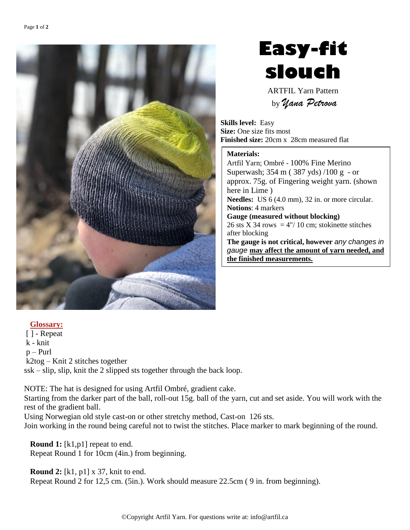

## **Easy-fit slouch**

ARTFIL Yarn Pattern by *Yana Petrova*

**Skills level:** Easy **Size:** One size fits most **Finished size:** 20cm x 28cm measured flat

## **Materials:**

Artfil Yarn; Ombré - 100% Fine Merino Superwash; 354 m ( 387 yds) /100 g - or approx. 75g. of Fingering weight yarn. (shown here in Lime ) **Needles:** US 6 (4.0 mm), 32 in. or more circular. **Notions**: 4 markers **Gauge (measured without blocking)** 26 sts X 34 rows =  $4\frac{1}{2}$  10 cm; stokinette stitches after blocking **The gauge is not critical, however** *any changes in gauge* **may affect the amount of yarn needed, and the finished measurements.**

## **Glossary:**

[ ] - Repeat k - knit p – Purl k2tog – Knit 2 stitches together ssk – slip, slip, knit the 2 slipped sts together through the back loop.

NOTE: The hat is designed for using Artfil Ombré, gradient cake.

Starting from the darker part of the ball, roll-out 15g. ball of the yarn, cut and set aside. You will work with the rest of the gradient ball.

Using Norwegian old style cast-on or other stretchy method, Cast-on 126 sts.

Join working in the round being careful not to twist the stitches. Place marker to mark beginning of the round.

**Round 1:** [k1,p1] repeat to end. Repeat Round 1 for 10cm (4in.) from beginning.

**Round 2:** [k1, p1] x 37, knit to end. Repeat Round 2 for 12,5 cm. (5in.). Work should measure 22.5cm ( 9 in. from beginning).